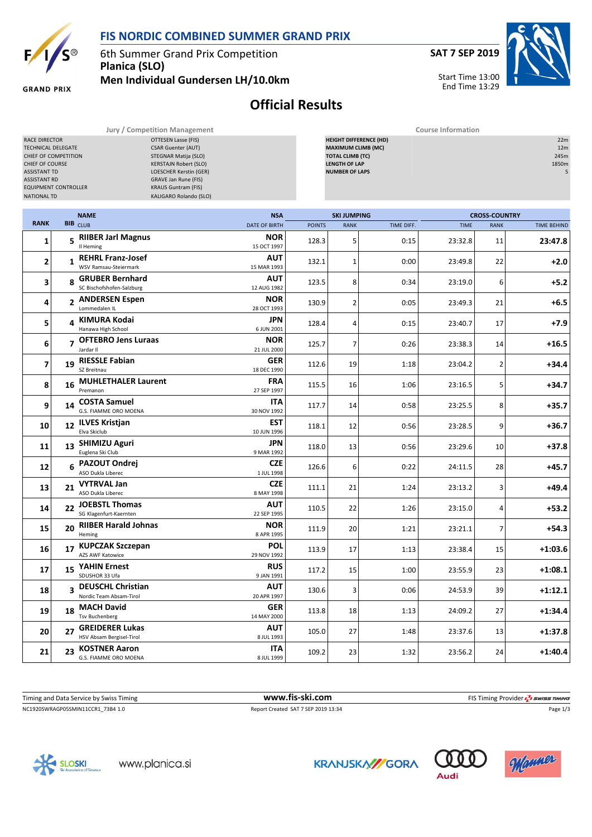

## **FIS NORDIC COMBINED SUMMER GRAND PRIX**

6th Summer Grand Prix Competition **Planica (SLO) Men Individual Gundersen LH/10.0km** **SAT 7 SEP 2019**

Start Time 13:00 End Time 13:29



**GRAND PRIX** 

## **Official Results**

**Jury / Competition Management Course Information**

| OTTESEN Lasse (FIS)<br>RACE DIRECTOR<br><b>CSAR Guenter (AUT)</b><br>TECHNICAL DELEGATE<br>CHIEF OF COMPETITION<br>STEGNAR Matija (SLO)<br>CHIEF OF COURSE<br><b>KERSTAJN Robert (SLO)</b><br><b>ASSISTANT TD</b><br>LOESCHER Kerstin (GER)<br><b>ASSISTANT RD</b><br>GRAVE Jan Rune (FIS)<br><b>EQUIPMENT CONTROLLER</b><br><b>KRAUS Guntram (FIS)</b><br>KALIGARO Rolando (SLO)<br><b>NATIONAL TD</b> |    |                                                    |                           |               | <b>HEIGHT DIFFERENCE (HD)</b><br><b>MAXIMUM CLIMB (MC)</b><br><b>TOTAL CLIMB (TC)</b><br><b>LENGTH OF LAP</b><br><b>NUMBER OF LAPS</b> |            |             |                      |                    |  |
|---------------------------------------------------------------------------------------------------------------------------------------------------------------------------------------------------------------------------------------------------------------------------------------------------------------------------------------------------------------------------------------------------------|----|----------------------------------------------------|---------------------------|---------------|----------------------------------------------------------------------------------------------------------------------------------------|------------|-------------|----------------------|--------------------|--|
|                                                                                                                                                                                                                                                                                                                                                                                                         |    | <b>NAME</b>                                        | <b>NSA</b>                |               | <b>SKI JUMPING</b>                                                                                                                     |            |             | <b>CROSS-COUNTRY</b> |                    |  |
| <b>RANK</b>                                                                                                                                                                                                                                                                                                                                                                                             |    | <b>BIB</b> CLUB                                    | <b>DATE OF BIRTH</b>      | <b>POINTS</b> | <b>RANK</b>                                                                                                                            | TIME DIFF. | <b>TIME</b> | <b>RANK</b>          | <b>TIME BEHIND</b> |  |
| 1                                                                                                                                                                                                                                                                                                                                                                                                       |    | 5 RIIBER Jarl Magnus<br>Il Heming                  | <b>NOR</b><br>15 OCT 1997 | 128.3         | 5                                                                                                                                      | 0:15       | 23:32.8     | 11                   | 23:47.8            |  |
| 2                                                                                                                                                                                                                                                                                                                                                                                                       |    | 1 REHRL Franz-Josef<br>WSV Ramsau-Steiermark       | AUT<br>15 MAR 1993        | 132.1         | $\mathbf{1}$                                                                                                                           | 0:00       | 23:49.8     | 22                   | $+2.0$             |  |
| 3                                                                                                                                                                                                                                                                                                                                                                                                       |    | 8 GRUBER Bernhard<br>SC Bischofshofen-Salzburg     | <b>AUT</b><br>12 AUG 1982 | 123.5         | 8                                                                                                                                      | 0:34       | 23:19.0     | 6                    | $+5.2$             |  |
| 4                                                                                                                                                                                                                                                                                                                                                                                                       |    | 2 ANDERSEN Espen<br>Lommedalen IL                  | <b>NOR</b><br>28 OCT 1993 | 130.9         | $\overline{2}$                                                                                                                         | 0:05       | 23:49.3     | 21                   | +6.5               |  |
| 5                                                                                                                                                                                                                                                                                                                                                                                                       |    | 4 KIMURA Kodai<br>Hanawa High School               | JPN<br>6 JUN 2001         | 128.4         | 4                                                                                                                                      | 0:15       | 23:40.7     | 17                   | +7.9               |  |
| 6                                                                                                                                                                                                                                                                                                                                                                                                       |    | 7 OFTEBRO Jens Luraas<br>Jardar II                 | <b>NOR</b><br>21 JUL 2000 | 125.7         | 7                                                                                                                                      | 0:26       | 23:38.3     | 14                   | $+16.5$            |  |
| 7                                                                                                                                                                                                                                                                                                                                                                                                       |    | 19 RIESSLE Fabian<br>SZ Breitnau                   | <b>GER</b><br>18 DEC 1990 | 112.6         | 19                                                                                                                                     | 1:18       | 23:04.2     | 2                    | $+34.4$            |  |
| 8                                                                                                                                                                                                                                                                                                                                                                                                       |    | 16 MUHLETHALER Laurent<br>Premanon                 | FRA<br>27 SEP 1997        | 115.5         | 16                                                                                                                                     | 1:06       | 23:16.5     | 5                    | $+34.7$            |  |
| 9                                                                                                                                                                                                                                                                                                                                                                                                       |    | 14 COSTA Samuel<br>G.S. FIAMME ORO MOENA           | ITA<br>30 NOV 1992        | 117.7         | 14                                                                                                                                     | 0:58       | 23:25.5     | 8                    | $+35.7$            |  |
| 10                                                                                                                                                                                                                                                                                                                                                                                                      |    | 12 ILVES Kristjan<br>Elva Skiclub                  | EST<br>10 JUN 1996        | 118.1         | 12                                                                                                                                     | 0:56       | 23:28.5     | 9                    | $+36.7$            |  |
| 11                                                                                                                                                                                                                                                                                                                                                                                                      |    | 13 SHIMIZU Aguri<br>Euglena Ski Club               | JPN<br>9 MAR 1992         | 118.0         | 13                                                                                                                                     | 0:56       | 23:29.6     | 10                   | $+37.8$            |  |
| 12                                                                                                                                                                                                                                                                                                                                                                                                      |    | 6 PAZOUT Ondrej<br>ASO Dukla Liberec               | <b>CZE</b><br>1 JUL 1998  | 126.6         | 6                                                                                                                                      | 0:22       | 24:11.5     | 28                   | $+45.7$            |  |
| 13                                                                                                                                                                                                                                                                                                                                                                                                      |    | 21 VYTRVAL Jan<br>ASO Dukla Liberec                | <b>CZE</b><br>8 MAY 1998  | 111.1         | 21                                                                                                                                     | 1:24       | 23:13.2     | 3                    | +49.4              |  |
| 14                                                                                                                                                                                                                                                                                                                                                                                                      |    | 22 JOEBSTL Thomas<br>SG Klagenfurt-Kaernten        | AUT<br>22 SEP 1995        | 110.5         | 22                                                                                                                                     | 1:26       | 23:15.0     | 4                    | $+53.2$            |  |
| 15                                                                                                                                                                                                                                                                                                                                                                                                      |    | 20 RIIBER Harald Johnas<br>Heming                  | <b>NOR</b><br>8 APR 1995  | 111.9         | 20                                                                                                                                     | 1:21       | 23:21.1     | 7                    | $+54.3$            |  |
| 16                                                                                                                                                                                                                                                                                                                                                                                                      |    | 17 KUPCZAK Szczepan<br><b>AZS AWF Katowice</b>     | POL<br>29 NOV 1992        | 113.9         | 17                                                                                                                                     | 1:13       | 23:38.4     | 15                   | $+1:03.6$          |  |
| 17                                                                                                                                                                                                                                                                                                                                                                                                      | 15 | <b>YAHIN Ernest</b><br>SDUSHOR 33 Ufa              | <b>RUS</b><br>9 JAN 1991  | 117.2         | 15                                                                                                                                     | 1:00       | 23:55.9     | 23                   | $+1:08.1$          |  |
| 18                                                                                                                                                                                                                                                                                                                                                                                                      |    | 3 DEUSCHL Christian<br>Nordic Team Absam-Tirol     | <b>AUT</b><br>20 APR 1997 | 130.6         | $\overline{3}$                                                                                                                         | 0:06       | 24:53.9     | 39                   | $+1:12.1$          |  |
| 19                                                                                                                                                                                                                                                                                                                                                                                                      | 18 | <b>MACH David</b><br><b>Tsv Buchenberg</b>         | <b>GER</b><br>14 MAY 2000 | 113.8         | 18                                                                                                                                     | 1:13       | 24:09.2     | 27                   | $+1:34.4$          |  |
| 20                                                                                                                                                                                                                                                                                                                                                                                                      | 27 | <b>GREIDERER Lukas</b><br>HSV Absam Bergisel-Tirol | <b>AUT</b><br>8 JUL 1993  | 105.0         | 27                                                                                                                                     | 1:48       | 23:37.6     | 13                   | $+1:37.8$          |  |
| 21                                                                                                                                                                                                                                                                                                                                                                                                      | 23 | <b>KOSTNER Aaron</b><br>G.S. FIAMME ORO MOENA      | <b>ITA</b><br>8 JUL 1999  | 109.2         | 23                                                                                                                                     | 1:32       | 23:56.2     | 24                   | $+1:40.4$          |  |

NC1920SWRAGP05SMIN11CCR1\_73B4 1.0 Report Created SAT 7 SEP 2019 13:34 Page 1/3 Timing and Data Service by Swiss Timing **www.fis-ski.com www.fis-ski.com** FIS Timing Provider  $\frac{7}{2}$  swiss Timing







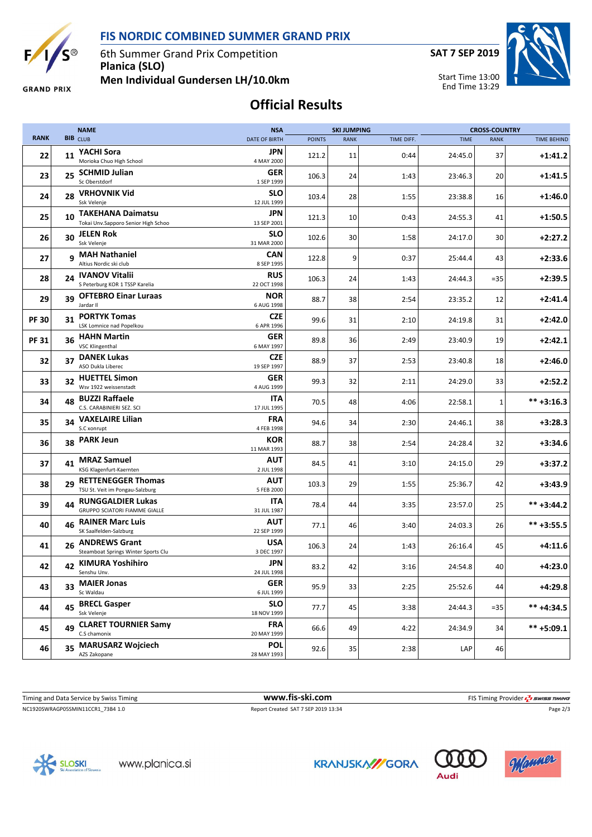**FIS NORDIC COMBINED SUMMER GRAND PRIX**



6th Summer Grand Prix Competition **Planica (SLO)**

**SAT 7 SEP 2019**

Start Time 13:00 End Time 13:29



**GRAND PRIX** 

**Men Individual Gundersen LH/10.0km**

## **Official Results**

|              |    | <b>NAME</b>                                                      | <b>NSA</b>                | <b>SKI JUMPING</b> |             |            | <b>CROSS-COUNTRY</b> |             |                    |  |
|--------------|----|------------------------------------------------------------------|---------------------------|--------------------|-------------|------------|----------------------|-------------|--------------------|--|
| <b>RANK</b>  |    | <b>BIB</b> CLUB                                                  | <b>DATE OF BIRTH</b>      | <b>POINTS</b>      | <b>RANK</b> | TIME DIFF. | <b>TIME</b>          | <b>RANK</b> | <b>TIME BEHIND</b> |  |
| 22           |    | 11 YACHI Sora<br>Morioka Chuo High School                        | JPN<br>4 MAY 2000         | 121.2              | 11          | 0:44       | 24:45.0              | 37          | $+1:41.2$          |  |
| 23           | 25 | <b>SCHMID Julian</b><br>Sc Oberstdorf                            | <b>GER</b><br>1 SEP 1999  | 106.3              | 24          | 1:43       | 23:46.3              | 20          | $+1:41.5$          |  |
| 24           | 28 | <b>VRHOVNIK Vid</b><br>Ssk Velenje                               | SLO<br>12 JUL 1999        | 103.4              | 28          | 1:55       | 23:38.8              | 16          | $+1:46.0$          |  |
| 25           | 10 | <b>TAKEHANA Daimatsu</b><br>Tokai Unv.Sapporo Senior High Schoo  | JPN<br>13 SEP 2001        | 121.3              | 10          | 0:43       | 24:55.3              | 41          | $+1:50.5$          |  |
| 26           | 30 | <b>JELEN Rok</b><br>Ssk Velenje                                  | <b>SLO</b><br>31 MAR 2000 | 102.6              | 30          | 1:58       | 24:17.0              | 30          | $+2:27.2$          |  |
| 27           |    | 9 MAH Nathaniel<br>Altius Nordic ski club                        | CAN<br>8 SEP 1995         | 122.8              | 9           | 0:37       | 25:44.4              | 43          | $+2:33.6$          |  |
| 28           | 24 | <b>IVANOV Vitalii</b><br>S Peterburg KOR 1 TSSP Karelia          | <b>RUS</b><br>22 OCT 1998 | 106.3              | 24          | 1:43       | 24:44.3              | $=35$       | $+2:39.5$          |  |
| 29           | 39 | <b>OFTEBRO Einar Luraas</b><br>Jardar II                         | <b>NOR</b><br>6 AUG 1998  | 88.7               | 38          | 2:54       | 23:35.2              | 12          | $+2:41.4$          |  |
| <b>PF 30</b> | 31 | <b>PORTYK Tomas</b><br>LSK Lomnice nad Popelkou                  | <b>CZE</b><br>6 APR 1996  | 99.6               | 31          | 2:10       | 24:19.8              | 31          | $+2:42.0$          |  |
| <b>PF31</b>  | 36 | <b>HAHN Martin</b><br><b>VSC Klingenthal</b>                     | <b>GER</b><br>6 MAY 1997  | 89.8               | 36          | 2:49       | 23:40.9              | 19          | $+2:42.1$          |  |
| 32           | 37 | <b>DANEK Lukas</b><br>ASO Dukla Liberec                          | <b>CZE</b><br>19 SEP 1997 | 88.9               | 37          | 2:53       | 23:40.8              | 18          | $+2:46.0$          |  |
| 33           |    | 32 HUETTEL Simon<br>Wsv 1922 weissenstadt                        | <b>GER</b><br>4 AUG 1999  | 99.3               | 32          | 2:11       | 24:29.0              | 33          | $+2:52.2$          |  |
| 34           | 48 | <b>BUZZI Raffaele</b><br>C.S. CARABINIERI SEZ. SCI               | ITA<br>17 JUL 1995        | 70.5               | 48          | 4:06       | 22:58.1              | $\mathbf 1$ | $*** +3:16.3$      |  |
| 35           | 34 | <b>VAXELAIRE Lilian</b><br>S.C xonrupt                           | FRA<br>4 FEB 1998         | 94.6               | 34          | 2:30       | 24:46.1              | 38          | $+3:28.3$          |  |
| 36           |    | 38 PARK Jeun                                                     | <b>KOR</b><br>11 MAR 1993 | 88.7               | 38          | 2:54       | 24:28.4              | 32          | $+3:34.6$          |  |
| 37           |    | 41 MRAZ Samuel<br>KSG Klagenfurt-Kaernten                        | AUT<br>2 JUL 1998         | 84.5               | 41          | 3:10       | 24:15.0              | 29          | $+3:37.2$          |  |
| 38           | 29 | <b>RETTENEGGER Thomas</b><br>TSU St. Veit im Pongau-Salzburg     | AUT<br>5 FEB 2000         | 103.3              | 29          | 1:55       | 25:36.7              | 42          | $+3:43.9$          |  |
| 39           | 44 | <b>RUNGGALDIER Lukas</b><br><b>GRUPPO SCIATORI FIAMME GIALLE</b> | ITA<br>31 JUL 1987        | 78.4               | 44          | 3:35       | 23:57.0              | 25          | $*** +3:44.2$      |  |
| 40           | 46 | <b>RAINER Marc Luis</b><br>SK Saalfelden-Salzburg                | AUT<br>22 SEP 1999        | 77.1               | 46          | 3:40       | 24:03.3              | 26          | $*** +3:55.5$      |  |
| 41           | 26 | <b>ANDREWS Grant</b><br>Steamboat Springs Winter Sports Clu      | USA<br>3 DEC 1997         | 106.3              | 24          | 1:43       | 26:16.4              | 45          | $+4:11.6$          |  |
| 42           |    | 42 KIMURA Yoshihiro<br>Senshu Unv.                               | JPN<br>24 JUL 1998        | 83.2               | 42          | 3:16       | 24:54.8              | 40          | $+4:23.0$          |  |
| 43           |    | 33 MAIER Jonas<br>Sc Waldau                                      | <b>GER</b><br>6 JUL 1999  | 95.9               | 33          | 2:25       | 25:52.6              | 44          | $+4:29.8$          |  |
| 44           | 45 | <b>BRECL Gasper</b><br>Ssk Velenje                               | <b>SLO</b><br>18 NOV 1999 | 77.7               | 45          | 3:38       | 24:44.3              | $= 35$      | ** +4:34.5         |  |
| 45           | 49 | <b>CLARET TOURNIER Samy</b><br>C.S chamonix                      | <b>FRA</b><br>20 MAY 1999 | 66.6               | 49          | 4:22       | 24:34.9              | 34          | $*** +5:09.1$      |  |
| 46           | 35 | <b>MARUSARZ Wojciech</b><br>AZS Zakopane                         | <b>POL</b><br>28 MAY 1993 | 92.6               | 35          | 2:38       | LAP                  | 46          |                    |  |

Timing and Data Service by Swiss Timing **www.fis-ski.com www.fis-ski.com** FIS Timing Provider  $\frac{7}{2}$  swiss Timing

NC1920SWRAGP05SMIN11CCR1\_73B4 1.0 Report Created SAT 7 SEP 2019 13:34 Page 2/3







**Audi**